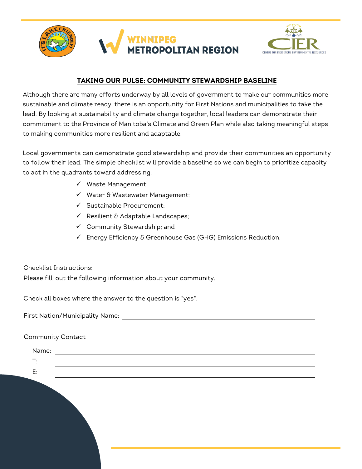



# **TAKING OUR PULSE: COMMUNITY STEWARDSHIP BASELINE**

Although there are many efforts underway by all levels of government to make our communities more sustainable and climate ready, there is an opportunity for First Nations and municipalities to take the lead. By looking at sustainability and climate change together, local leaders can demonstrate their commitment to the Province of Manitoba's Climate and Green Plan while also taking meaningful steps to making communities more resilient and adaptable.

Local governments can demonstrate good stewardship and provide their communities an opportunity to follow their lead. The simple checklist will provide a baseline so we can begin to prioritize capacity to act in the quadrants toward addressing:

- $\checkmark$  Waste Management;
- $\checkmark$  Water & Wastewater Management;
- $\checkmark$  Sustainable Procurement;
- $\checkmark$  Resilient & Adaptable Landscapes;
- $\checkmark$  Community Stewardship; and
- $\checkmark$  Energy Efficiency & Greenhouse Gas (GHG) Emissions Reduction.

Checklist Instructions:

Please fill-out the following information about your community.

Check all boxes where the answer to the question is "yes".

First Nation/Municipality Name:

Community Contact

| Name:          |  |  |  |  |
|----------------|--|--|--|--|
| $\mathsf{T}$ : |  |  |  |  |
| E:             |  |  |  |  |
|                |  |  |  |  |
|                |  |  |  |  |
|                |  |  |  |  |
|                |  |  |  |  |
|                |  |  |  |  |
|                |  |  |  |  |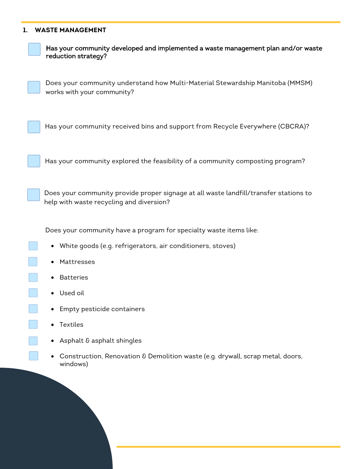### **1. WASTE MANAGEMENT**



Has your community developed and implemented a waste management plan and/or waste reduction strategy?

Does your community understand how Multi-Material Stewardship Manitoba (MMSM) works with your community?

Has your community received bins and support from Recycle Everywhere (CBCRA)?

Has your community explored the feasibility of a community composting program?

Does your community provide proper signage at all waste landfill/transfer stations to help with waste recycling and diversion?

Does your community have a program for specialty waste items like:

- White goods (e.g. refrigerators, air conditioners, stoves)
- Mattresses
- Batteries
- Used oil
- Empty pesticide containers
- Textiles
- Asphalt & asphalt shingles
- Construction, Renovation & Demolition waste (e.g. drywall, scrap metal, doors, windows)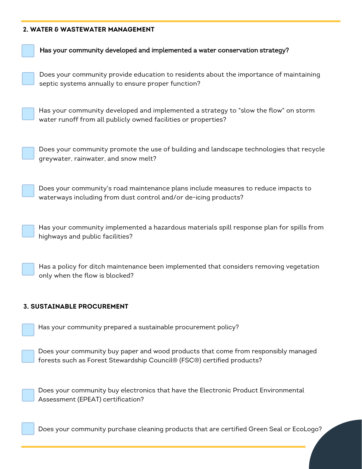### **2. WATER & WASTEWATER MANAGEMENT**

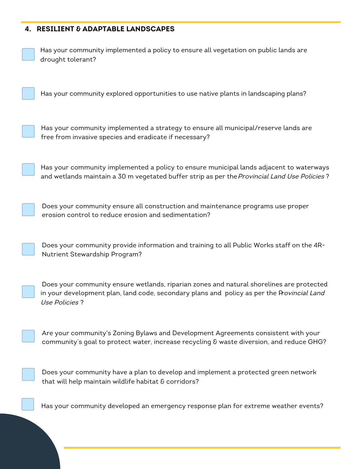## **4. RESILIENT & ADAPTABLE LANDSCAPES**